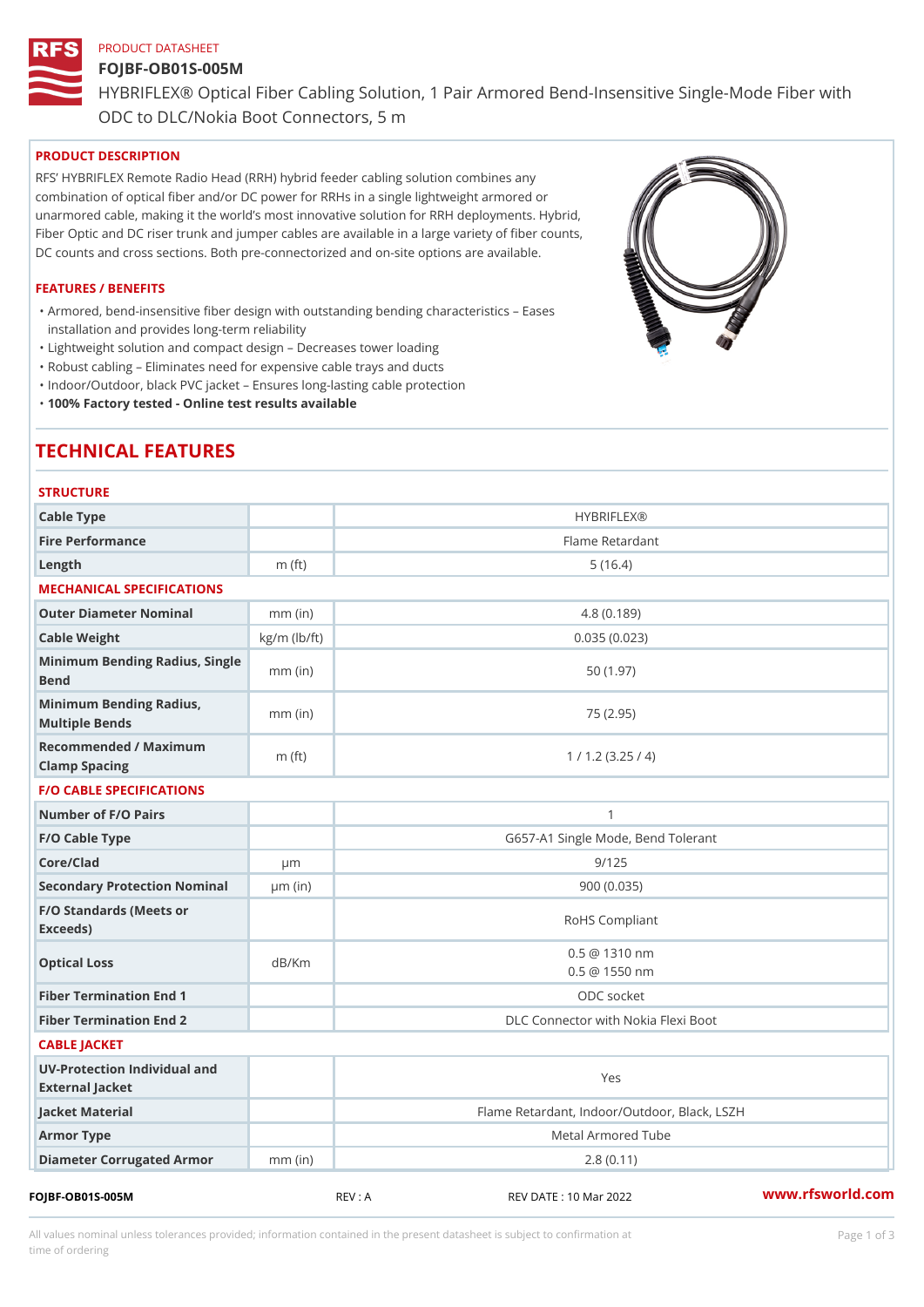#### PRODUCT DATASHEET

#### FOJBF-OB01S-005M

HYBRIFLEX® Optical Fiber Cabling Solution, 1 Pair Armored Bend-Inse

ODC to DLC/Nokia Boot Connectors, 5 m

# PRODUCT DESCRIPTION

RFS HYBRIFLEX Remote Radio Head (RRH) hybrid feeder cabling solution combines any combination of optical fiber and/or DC power for RRHs in a single lightweight armored or unarmored cable, making it the world s most innovative solution for RRH deployments. Hybrid, Fiber Optic and DC riser trunk and jumper cables are available in a large variety of fiber counts, DC counts and cross sections. Both pre-connectorized and on-site options are available.

# FEATURES / BENEFITS

Armored, bend-insensitive fiber design with outstanding bending characteristics Eases " installation and provides long-term reliability

"Lightweight solution and compact design Decreases tower loading

- "Robust cabling Eliminates need for expensive cable trays and ducts
- "Indoor/Outdoor, black PVC jacket Ensures long-lasting cable protection

"100% Factory tested - Online test results available

# TECHNICAL FEATURES

| <b>STRUCTURE</b>                                  |                    |                                                                                                                                                                                                                               |
|---------------------------------------------------|--------------------|-------------------------------------------------------------------------------------------------------------------------------------------------------------------------------------------------------------------------------|
| Cable Type                                        |                    | <b>HYBRIFLEX®</b>                                                                                                                                                                                                             |
| Fire Performance                                  |                    | Flame Retardant                                                                                                                                                                                                               |
| $L$ ength                                         | $m$ (ft)           | 5(16.4)                                                                                                                                                                                                                       |
| MECHANICAL SPECIFICATIONS                         |                    |                                                                                                                                                                                                                               |
| Outer Diameter Nominal                            | $mm$ (in)          | 4.8(0.189)                                                                                                                                                                                                                    |
| Cable Weight                                      | $kg/m$ ( $lb/ft$ ) | 0.035(0.023)                                                                                                                                                                                                                  |
| Minimum Bending Radius, Single<br>mm (in)<br>Bend |                    | 50(1.97)                                                                                                                                                                                                                      |
| Minimum Bending Radius, mm (in)<br>Multiple Bends |                    | 75 (2.95)                                                                                                                                                                                                                     |
| Recommended / Maximum<br>Clamp Spacing            | m $(ft)$           | 1 / 1.2 (3.25 / 4)                                                                                                                                                                                                            |
| <b>F/O CABLE SPECIFICATIONS</b>                   |                    |                                                                                                                                                                                                                               |
| Number of F/O Pairs                               |                    | 1                                                                                                                                                                                                                             |
| F/O Cable Type                                    |                    | G657-A1 Single Mode, Bend Tolerant                                                                                                                                                                                            |
| Core/Clad                                         | $\mu$ m            | 9/125                                                                                                                                                                                                                         |
| Secondary Protection Nomumal(in)                  |                    | 900 (0.035)                                                                                                                                                                                                                   |
| F/O Standards (Meets or<br>Exceeds)               |                    | RoHS Compliant                                                                                                                                                                                                                |
| Optical Loss                                      | dB/Km              | $0.5 \ @ \ 1310 \ nm$<br>$0.5 \ @ \ 1550 \ nm$                                                                                                                                                                                |
| Fiber Termination End                             |                    | ODC socket                                                                                                                                                                                                                    |
| Fiber Termination End 2                           |                    | DLC Connector with Nokia Flexi Boot                                                                                                                                                                                           |
| CABLE JACKET                                      |                    |                                                                                                                                                                                                                               |
| UV-Protection Individual and<br>External Jacket   |                    | Yes                                                                                                                                                                                                                           |
| Jacket Material                                   |                    | Flame Retardant, Indoor/Outdoor, Black, LSZH                                                                                                                                                                                  |
| Armor Type                                        |                    | Metal Armored Tube                                                                                                                                                                                                            |
| Diameter Corrugated Armomm (in)                   |                    | 2.8(0.11)                                                                                                                                                                                                                     |
|                                                   |                    | and the second contract of the second contract of the second contract of the second contract of the second contract of the second contract of the second contract of the second contract of the second contract of the second |

FOJBF-OB01S-005M REV : A REV DATE : 10 Mar 2022 [www.](https://www.rfsworld.com)rfsworld.com

All values nominal unless tolerances provided; information contained in the present datasheet is subject to Pcapgeign mation time of ordering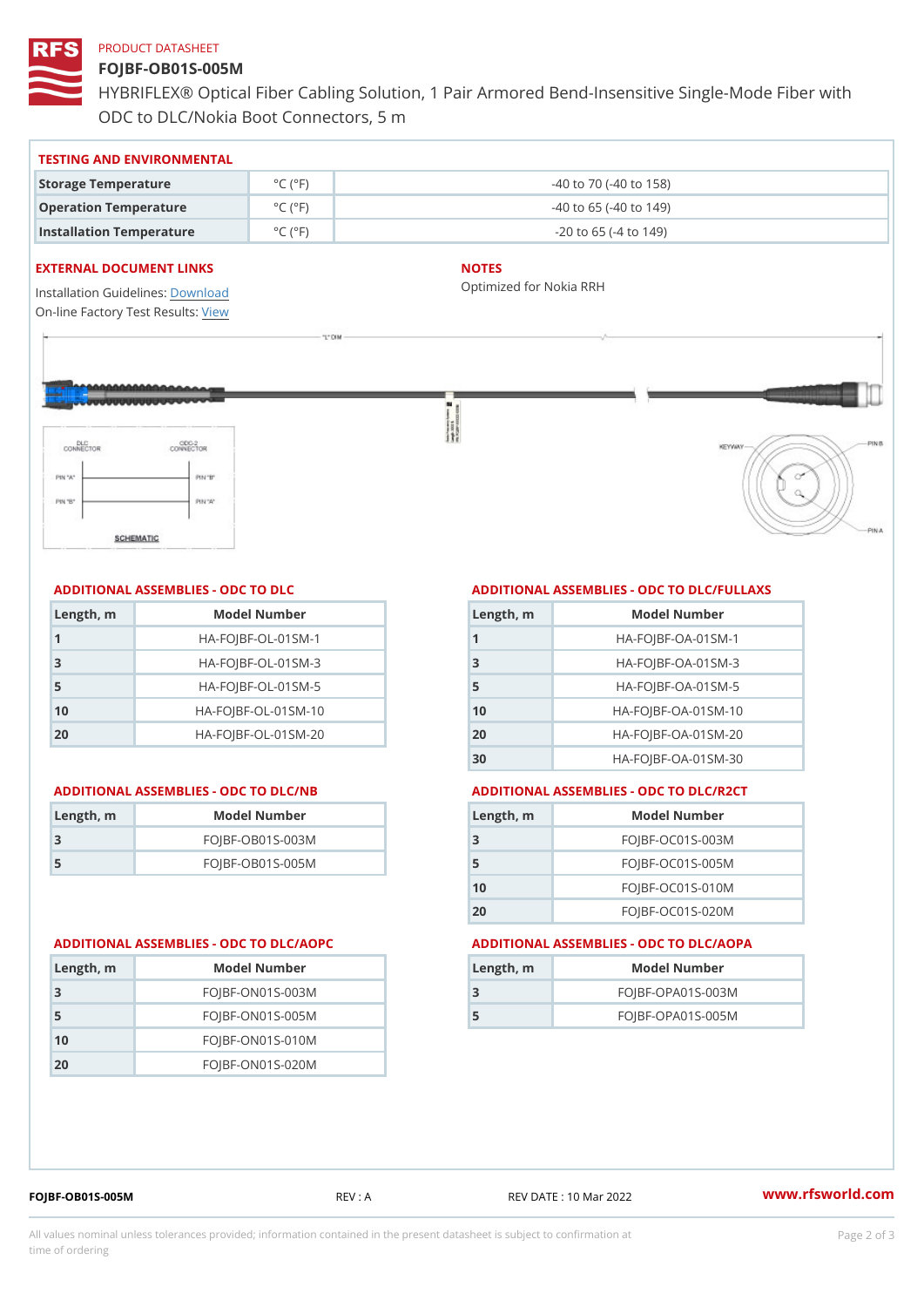#### PRODUCT DATASHEET

## FOJBF-OB01S-005M

HYBRIFLEX® Optical Fiber Cabling Solution, 1 Pair Armored Bend-Inse ODC to DLC/Nokia Boot Connectors, 5 m

#### TESTING AND ENVIRONMENTAL

| Storage Temperature              | $^{\circ}$ C ( $^{\circ}$ F $\vert$ | $-40$ to $70$ ( $-40$ to $158$ ) |
|----------------------------------|-------------------------------------|----------------------------------|
| Operation Temperature            | $^{\circ}$ C ( $^{\circ}$ F $\vert$ | $-40$ to 65 ( $-40$ to 149)      |
| Installation Temperature °C (°F) |                                     | $-20$ to 65 ( $-4$ to 149)       |

#### EXTERNAL DOCUMENT LINKS

Installation Guidelwinessad On-line Factory Te[s](https://www.rfsworld.com/pictures/userfiles/programs/AAST Latest Version.zip)teResults:

### NOTES

Optimized for Nokia RRH

# ADDITIONAL ASSEMBLIES - ODC TO DLC

| Length, m | Model Number                   |
|-----------|--------------------------------|
| -1        | $HA - FOJBF - OL - 01SM - 1$   |
| -3        | $HA - FOJBF - OL - 01SM - 3$   |
| 5         | $HA - FOJBF - OL - 01SM - 5$   |
| 10        | $HA - FOJBF - O L - 01SM - 10$ |
| 20        | $HA - FOJBF - O L - 01SM - 20$ |

| Length, m | Model Number     |
|-----------|------------------|
| -3        | FOJBF-OB01S-003M |
| -5        | FOJBF-OB01S-005M |

#### ADDITIONAL ASSEMBLIES - ODC TO DLC/FULLAXS

| Length, m | Model Number                  |
|-----------|-------------------------------|
| 1         | $HA - FOJBF - OA - 01SM - 1$  |
| 3         | $HA - FOJBF - OA - 01SM - B$  |
| 5         | $HA - FOJBF - OA - 01SM - 5$  |
| 10        | $HA-FOJBF-OA-01SM-10$         |
| 20        | $HA - FOJBF - OA - 01SM - 20$ |
| 30        | HA-FOJBF-OA-01SM-30           |

#### ADDITIONAL ASSEMBLIES - ODC TO DLC/NB ADDITIONAL ASSEMBLIES - ODC TO DLC/R2CT

| $L$ ength, $rn$ | Model Number       |
|-----------------|--------------------|
| -3              | $FOJBF-OCO1S-OO3M$ |
| 5               | $FOJBF-OCO1S-OO5M$ |
| 10              | $FOJBF-OCO1S-010M$ |
| 2 O             | $FOJBF-OCO1S-020M$ |

#### ADDITIONAL ASSEMBLIES - ODC TO DLC/AOPC ADDITIONAL ASSEMBLIES - ODC TO DLC/AOPA

| Length, m | Model Number        |
|-----------|---------------------|
| 3         | $FOJBF-OPAO1S-003M$ |
| 5         | $FOJBF-OPAO1S-005M$ |

| $L$ ength, $rn$ | Model Number       |
|-----------------|--------------------|
| 3               | $FOJBF-ONO1S-003M$ |
| 5               | $FOJBF-ONO1S-005M$ |
| 1 O             | $FOJBF-ON01S-010M$ |
| 2 O             | $FOJBF-ONO1S-020M$ |

FOJBF-OB01S-005M REV : A REV DATE : 10 Mar 2022 [www.](https://www.rfsworld.com)rfsworld.com

All values nominal unless tolerances provided; information contained in the present datasheet is subject to Pcapgelio an atio time of ordering